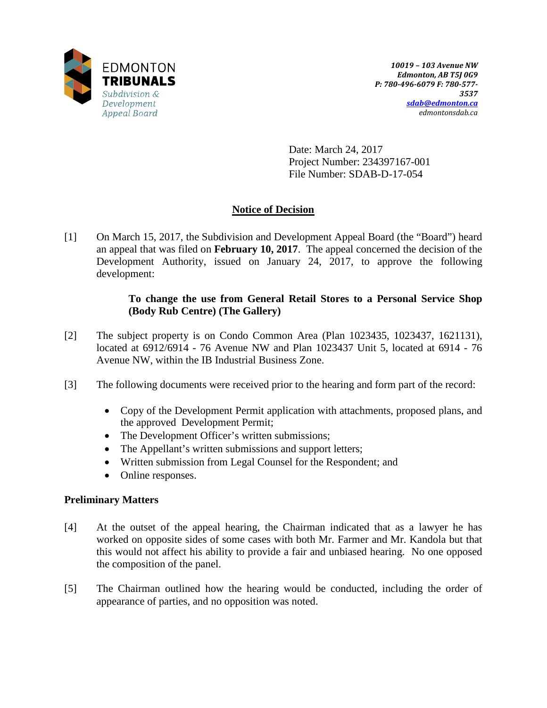

Date: March 24, 2017 Project Number: 234397167-001 File Number: SDAB-D-17-054

# **Notice of Decision**

[1] On March 15, 2017, the Subdivision and Development Appeal Board (the "Board") heard an appeal that was filed on **February 10, 2017**. The appeal concerned the decision of the Development Authority, issued on January 24, 2017, to approve the following development:

## **To change the use from General Retail Stores to a Personal Service Shop (Body Rub Centre) (The Gallery)**

- [2] The subject property is on Condo Common Area (Plan 1023435, 1023437, 1621131), located at 6912/6914 - 76 Avenue NW and Plan 1023437 Unit 5, located at 6914 - 76 Avenue NW, within the IB Industrial Business Zone.
- [3] The following documents were received prior to the hearing and form part of the record:
	- Copy of the Development Permit application with attachments, proposed plans, and the approved Development Permit;
	- The Development Officer's written submissions;
	- The Appellant's written submissions and support letters;
	- Written submission from Legal Counsel for the Respondent; and
	- Online responses.

## **Preliminary Matters**

- [4] At the outset of the appeal hearing, the Chairman indicated that as a lawyer he has worked on opposite sides of some cases with both Mr. Farmer and Mr. Kandola but that this would not affect his ability to provide a fair and unbiased hearing. No one opposed the composition of the panel.
- [5] The Chairman outlined how the hearing would be conducted, including the order of appearance of parties, and no opposition was noted.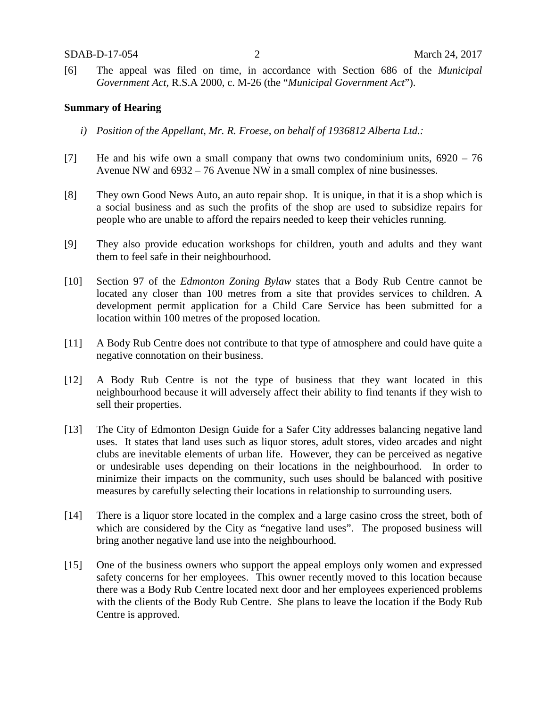[6] The appeal was filed on time, in accordance with Section 686 of the *Municipal Government Act,* R.S.A 2000, c. M-26 (the "*Municipal Government Act*").

#### **Summary of Hearing**

- *i) Position of the Appellant, Mr. R. Froese, on behalf of 1936812 Alberta Ltd.:*
- [7] He and his wife own a small company that owns two condominium units, 6920 76 Avenue NW and 6932 – 76 Avenue NW in a small complex of nine businesses.
- [8] They own Good News Auto, an auto repair shop. It is unique, in that it is a shop which is a social business and as such the profits of the shop are used to subsidize repairs for people who are unable to afford the repairs needed to keep their vehicles running.
- [9] They also provide education workshops for children, youth and adults and they want them to feel safe in their neighbourhood.
- [10] Section 97 of the *Edmonton Zoning Bylaw* states that a Body Rub Centre cannot be located any closer than 100 metres from a site that provides services to children. A development permit application for a Child Care Service has been submitted for a location within 100 metres of the proposed location.
- [11] A Body Rub Centre does not contribute to that type of atmosphere and could have quite a negative connotation on their business.
- [12] A Body Rub Centre is not the type of business that they want located in this neighbourhood because it will adversely affect their ability to find tenants if they wish to sell their properties.
- [13] The City of Edmonton Design Guide for a Safer City addresses balancing negative land uses. It states that land uses such as liquor stores, adult stores, video arcades and night clubs are inevitable elements of urban life. However, they can be perceived as negative or undesirable uses depending on their locations in the neighbourhood. In order to minimize their impacts on the community, such uses should be balanced with positive measures by carefully selecting their locations in relationship to surrounding users.
- [14] There is a liquor store located in the complex and a large casino cross the street, both of which are considered by the City as "negative land uses". The proposed business will bring another negative land use into the neighbourhood.
- [15] One of the business owners who support the appeal employs only women and expressed safety concerns for her employees. This owner recently moved to this location because there was a Body Rub Centre located next door and her employees experienced problems with the clients of the Body Rub Centre. She plans to leave the location if the Body Rub Centre is approved.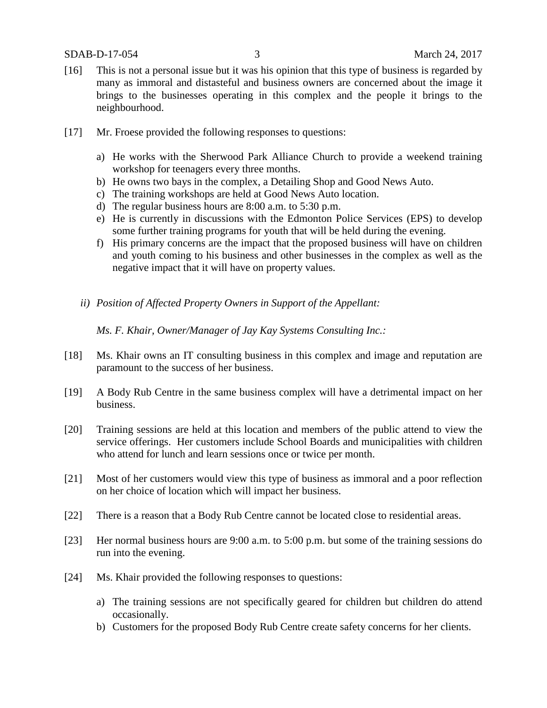- [16] This is not a personal issue but it was his opinion that this type of business is regarded by many as immoral and distasteful and business owners are concerned about the image it brings to the businesses operating in this complex and the people it brings to the neighbourhood.
- [17] Mr. Froese provided the following responses to questions:
	- a) He works with the Sherwood Park Alliance Church to provide a weekend training workshop for teenagers every three months.
	- b) He owns two bays in the complex, a Detailing Shop and Good News Auto.
	- c) The training workshops are held at Good News Auto location.
	- d) The regular business hours are 8:00 a.m. to 5:30 p.m.
	- e) He is currently in discussions with the Edmonton Police Services (EPS) to develop some further training programs for youth that will be held during the evening.
	- f) His primary concerns are the impact that the proposed business will have on children and youth coming to his business and other businesses in the complex as well as the negative impact that it will have on property values.
	- *ii) Position of Affected Property Owners in Support of the Appellant:*

*Ms. F. Khair, Owner/Manager of Jay Kay Systems Consulting Inc.:*

- [18] Ms. Khair owns an IT consulting business in this complex and image and reputation are paramount to the success of her business.
- [19] A Body Rub Centre in the same business complex will have a detrimental impact on her business.
- [20] Training sessions are held at this location and members of the public attend to view the service offerings. Her customers include School Boards and municipalities with children who attend for lunch and learn sessions once or twice per month.
- [21] Most of her customers would view this type of business as immoral and a poor reflection on her choice of location which will impact her business.
- [22] There is a reason that a Body Rub Centre cannot be located close to residential areas.
- [23] Her normal business hours are 9:00 a.m. to 5:00 p.m. but some of the training sessions do run into the evening.
- [24] Ms. Khair provided the following responses to questions:
	- a) The training sessions are not specifically geared for children but children do attend occasionally.
	- b) Customers for the proposed Body Rub Centre create safety concerns for her clients.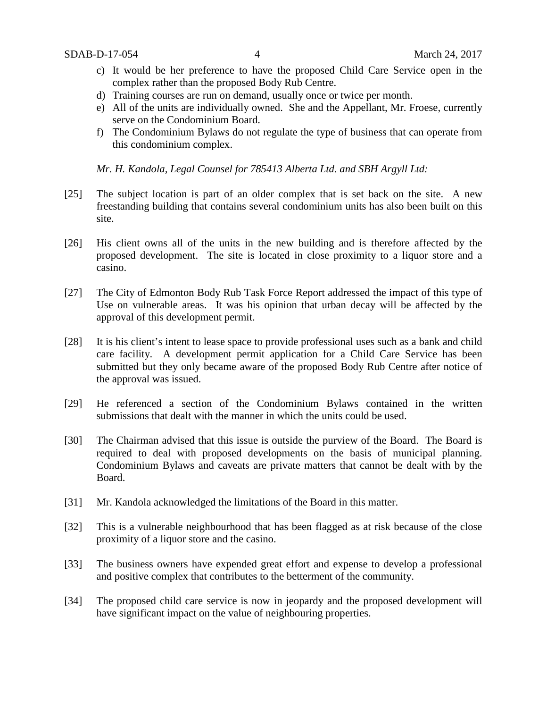- c) It would be her preference to have the proposed Child Care Service open in the complex rather than the proposed Body Rub Centre.
- d) Training courses are run on demand, usually once or twice per month.
- e) All of the units are individually owned. She and the Appellant, Mr. Froese, currently serve on the Condominium Board.
- f) The Condominium Bylaws do not regulate the type of business that can operate from this condominium complex.

*Mr. H. Kandola, Legal Counsel for 785413 Alberta Ltd. and SBH Argyll Ltd:*

- [25] The subject location is part of an older complex that is set back on the site. A new freestanding building that contains several condominium units has also been built on this site.
- [26] His client owns all of the units in the new building and is therefore affected by the proposed development. The site is located in close proximity to a liquor store and a casino.
- [27] The City of Edmonton Body Rub Task Force Report addressed the impact of this type of Use on vulnerable areas. It was his opinion that urban decay will be affected by the approval of this development permit.
- [28] It is his client's intent to lease space to provide professional uses such as a bank and child care facility. A development permit application for a Child Care Service has been submitted but they only became aware of the proposed Body Rub Centre after notice of the approval was issued.
- [29] He referenced a section of the Condominium Bylaws contained in the written submissions that dealt with the manner in which the units could be used.
- [30] The Chairman advised that this issue is outside the purview of the Board. The Board is required to deal with proposed developments on the basis of municipal planning. Condominium Bylaws and caveats are private matters that cannot be dealt with by the Board.
- [31] Mr. Kandola acknowledged the limitations of the Board in this matter.
- [32] This is a vulnerable neighbourhood that has been flagged as at risk because of the close proximity of a liquor store and the casino.
- [33] The business owners have expended great effort and expense to develop a professional and positive complex that contributes to the betterment of the community.
- [34] The proposed child care service is now in jeopardy and the proposed development will have significant impact on the value of neighbouring properties.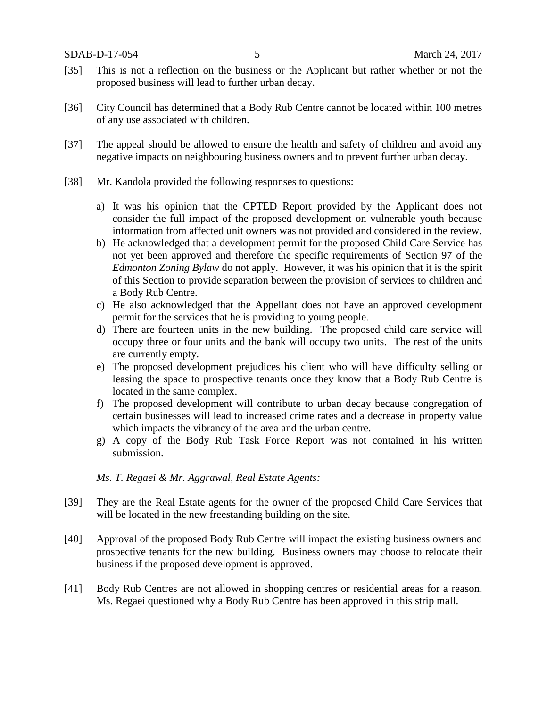- [35] This is not a reflection on the business or the Applicant but rather whether or not the proposed business will lead to further urban decay.
- [36] City Council has determined that a Body Rub Centre cannot be located within 100 metres of any use associated with children.
- [37] The appeal should be allowed to ensure the health and safety of children and avoid any negative impacts on neighbouring business owners and to prevent further urban decay.
- [38] Mr. Kandola provided the following responses to questions:
	- a) It was his opinion that the CPTED Report provided by the Applicant does not consider the full impact of the proposed development on vulnerable youth because information from affected unit owners was not provided and considered in the review.
	- b) He acknowledged that a development permit for the proposed Child Care Service has not yet been approved and therefore the specific requirements of Section 97 of the *Edmonton Zoning Bylaw* do not apply. However, it was his opinion that it is the spirit of this Section to provide separation between the provision of services to children and a Body Rub Centre.
	- c) He also acknowledged that the Appellant does not have an approved development permit for the services that he is providing to young people.
	- d) There are fourteen units in the new building. The proposed child care service will occupy three or four units and the bank will occupy two units. The rest of the units are currently empty.
	- e) The proposed development prejudices his client who will have difficulty selling or leasing the space to prospective tenants once they know that a Body Rub Centre is located in the same complex.
	- f) The proposed development will contribute to urban decay because congregation of certain businesses will lead to increased crime rates and a decrease in property value which impacts the vibrancy of the area and the urban centre.
	- g) A copy of the Body Rub Task Force Report was not contained in his written submission.

#### *Ms. T. Regaei & Mr. Aggrawal, Real Estate Agents:*

- [39] They are the Real Estate agents for the owner of the proposed Child Care Services that will be located in the new freestanding building on the site.
- [40] Approval of the proposed Body Rub Centre will impact the existing business owners and prospective tenants for the new building. Business owners may choose to relocate their business if the proposed development is approved.
- [41] Body Rub Centres are not allowed in shopping centres or residential areas for a reason. Ms. Regaei questioned why a Body Rub Centre has been approved in this strip mall.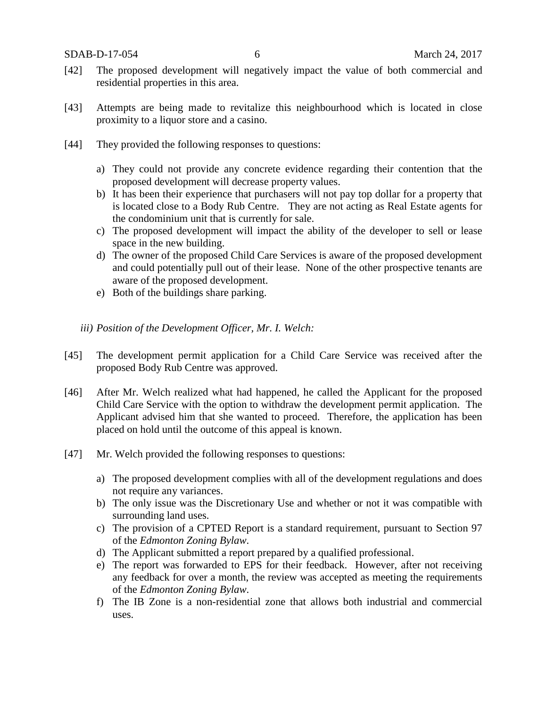SDAB-D-17-054 6 March 24, 2017

- [42] The proposed development will negatively impact the value of both commercial and residential properties in this area.
- [43] Attempts are being made to revitalize this neighbourhood which is located in close proximity to a liquor store and a casino.
- [44] They provided the following responses to questions:
	- a) They could not provide any concrete evidence regarding their contention that the proposed development will decrease property values.
	- b) It has been their experience that purchasers will not pay top dollar for a property that is located close to a Body Rub Centre. They are not acting as Real Estate agents for the condominium unit that is currently for sale.
	- c) The proposed development will impact the ability of the developer to sell or lease space in the new building.
	- d) The owner of the proposed Child Care Services is aware of the proposed development and could potentially pull out of their lease. None of the other prospective tenants are aware of the proposed development.
	- e) Both of the buildings share parking.
	- *iii) Position of the Development Officer, Mr. I. Welch:*
- [45] The development permit application for a Child Care Service was received after the proposed Body Rub Centre was approved.
- [46] After Mr. Welch realized what had happened, he called the Applicant for the proposed Child Care Service with the option to withdraw the development permit application. The Applicant advised him that she wanted to proceed. Therefore, the application has been placed on hold until the outcome of this appeal is known.
- [47] Mr. Welch provided the following responses to questions:
	- a) The proposed development complies with all of the development regulations and does not require any variances.
	- b) The only issue was the Discretionary Use and whether or not it was compatible with surrounding land uses.
	- c) The provision of a CPTED Report is a standard requirement, pursuant to Section 97 of the *Edmonton Zoning Bylaw*.
	- d) The Applicant submitted a report prepared by a qualified professional.
	- e) The report was forwarded to EPS for their feedback. However, after not receiving any feedback for over a month, the review was accepted as meeting the requirements of the *Edmonton Zoning Bylaw*.
	- f) The IB Zone is a non-residential zone that allows both industrial and commercial uses.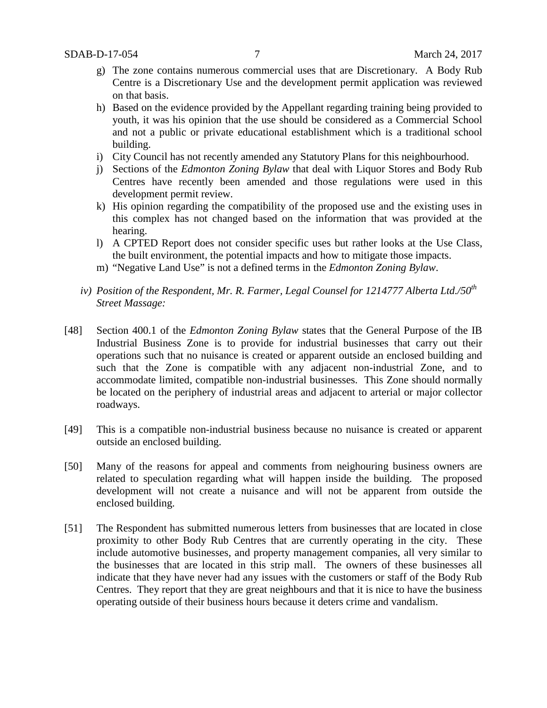- g) The zone contains numerous commercial uses that are Discretionary. A Body Rub Centre is a Discretionary Use and the development permit application was reviewed on that basis.
- h) Based on the evidence provided by the Appellant regarding training being provided to youth, it was his opinion that the use should be considered as a Commercial School and not a public or private educational establishment which is a traditional school building.
- i) City Council has not recently amended any Statutory Plans for this neighbourhood.
- j) Sections of the *Edmonton Zoning Bylaw* that deal with Liquor Stores and Body Rub Centres have recently been amended and those regulations were used in this development permit review.
- k) His opinion regarding the compatibility of the proposed use and the existing uses in this complex has not changed based on the information that was provided at the hearing.
- l) A CPTED Report does not consider specific uses but rather looks at the Use Class, the built environment, the potential impacts and how to mitigate those impacts.
- m) "Negative Land Use" is not a defined terms in the *Edmonton Zoning Bylaw*.
- *iv)* Position of the Respondent, Mr. R. Farmer, Legal Counsel for 1214777 Alberta Ltd./50<sup>th</sup> *Street Massage:*
- [48] Section 400.1 of the *Edmonton Zoning Bylaw* states that the General Purpose of the IB Industrial Business Zone is to provide for industrial businesses that carry out their operations such that no nuisance is created or apparent outside an enclosed building and such that the Zone is compatible with any adjacent non-industrial Zone, and to accommodate limited, compatible non-industrial businesses. This Zone should normally be located on the periphery of industrial areas and adjacent to arterial or major collector roadways.
- [49] This is a compatible non-industrial business because no nuisance is created or apparent outside an enclosed building.
- [50] Many of the reasons for appeal and comments from neighouring business owners are related to speculation regarding what will happen inside the building. The proposed development will not create a nuisance and will not be apparent from outside the enclosed building.
- [51] The Respondent has submitted numerous letters from businesses that are located in close proximity to other Body Rub Centres that are currently operating in the city. These include automotive businesses, and property management companies, all very similar to the businesses that are located in this strip mall. The owners of these businesses all indicate that they have never had any issues with the customers or staff of the Body Rub Centres. They report that they are great neighbours and that it is nice to have the business operating outside of their business hours because it deters crime and vandalism.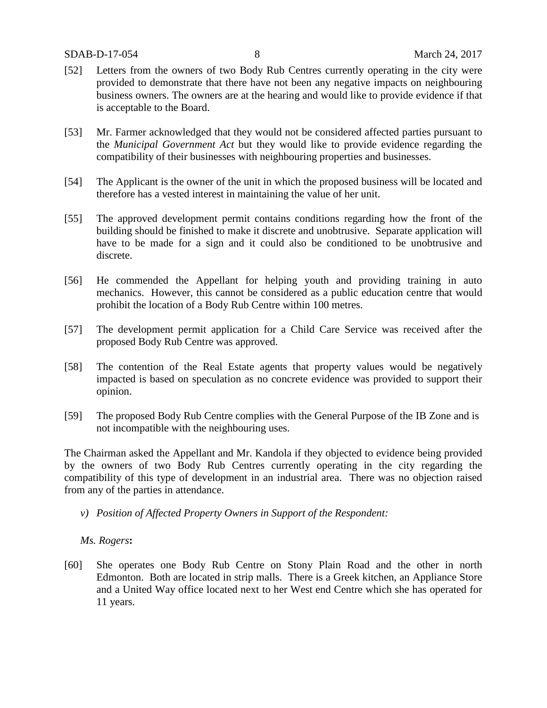- [52] Letters from the owners of two Body Rub Centres currently operating in the city were provided to demonstrate that there have not been any negative impacts on neighbouring business owners. The owners are at the hearing and would like to provide evidence if that is acceptable to the Board.
- [53] Mr. Farmer acknowledged that they would not be considered affected parties pursuant to the *Municipal Government Act* but they would like to provide evidence regarding the compatibility of their businesses with neighbouring properties and businesses.
- [54] The Applicant is the owner of the unit in which the proposed business will be located and therefore has a vested interest in maintaining the value of her unit.
- [55] The approved development permit contains conditions regarding how the front of the building should be finished to make it discrete and unobtrusive. Separate application will have to be made for a sign and it could also be conditioned to be unobtrusive and discrete.
- [56] He commended the Appellant for helping youth and providing training in auto mechanics. However, this cannot be considered as a public education centre that would prohibit the location of a Body Rub Centre within 100 metres.
- [57] The development permit application for a Child Care Service was received after the proposed Body Rub Centre was approved.
- [58] The contention of the Real Estate agents that property values would be negatively impacted is based on speculation as no concrete evidence was provided to support their opinion.
- [59] The proposed Body Rub Centre complies with the General Purpose of the IB Zone and is not incompatible with the neighbouring uses.

The Chairman asked the Appellant and Mr. Kandola if they objected to evidence being provided by the owners of two Body Rub Centres currently operating in the city regarding the compatibility of this type of development in an industrial area. There was no objection raised from any of the parties in attendance.

*v) Position of Affected Property Owners in Support of the Respondent:*

*Ms. Rogers***:**

[60] She operates one Body Rub Centre on Stony Plain Road and the other in north Edmonton. Both are located in strip malls. There is a Greek kitchen, an Appliance Store and a United Way office located next to her West end Centre which she has operated for 11 years.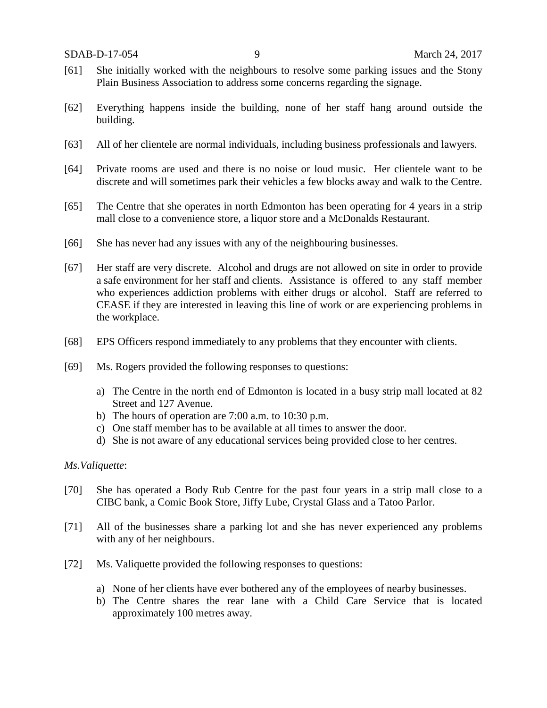- [61] She initially worked with the neighbours to resolve some parking issues and the Stony Plain Business Association to address some concerns regarding the signage.
- [62] Everything happens inside the building, none of her staff hang around outside the building.
- [63] All of her clientele are normal individuals, including business professionals and lawyers.
- [64] Private rooms are used and there is no noise or loud music. Her clientele want to be discrete and will sometimes park their vehicles a few blocks away and walk to the Centre.
- [65] The Centre that she operates in north Edmonton has been operating for 4 years in a strip mall close to a convenience store, a liquor store and a McDonalds Restaurant.
- [66] She has never had any issues with any of the neighbouring businesses.
- [67] Her staff are very discrete. Alcohol and drugs are not allowed on site in order to provide a safe environment for her staff and clients. Assistance is offered to any staff member who experiences addiction problems with either drugs or alcohol. Staff are referred to CEASE if they are interested in leaving this line of work or are experiencing problems in the workplace.
- [68] EPS Officers respond immediately to any problems that they encounter with clients.
- [69] Ms. Rogers provided the following responses to questions:
	- a) The Centre in the north end of Edmonton is located in a busy strip mall located at 82 Street and 127 Avenue.
	- b) The hours of operation are 7:00 a.m. to 10:30 p.m.
	- c) One staff member has to be available at all times to answer the door.
	- d) She is not aware of any educational services being provided close to her centres.

#### *Ms.Valiquette*:

- [70] She has operated a Body Rub Centre for the past four years in a strip mall close to a CIBC bank, a Comic Book Store, Jiffy Lube, Crystal Glass and a Tatoo Parlor.
- [71] All of the businesses share a parking lot and she has never experienced any problems with any of her neighbours.
- [72] Ms. Valiquette provided the following responses to questions:
	- a) None of her clients have ever bothered any of the employees of nearby businesses.
	- b) The Centre shares the rear lane with a Child Care Service that is located approximately 100 metres away.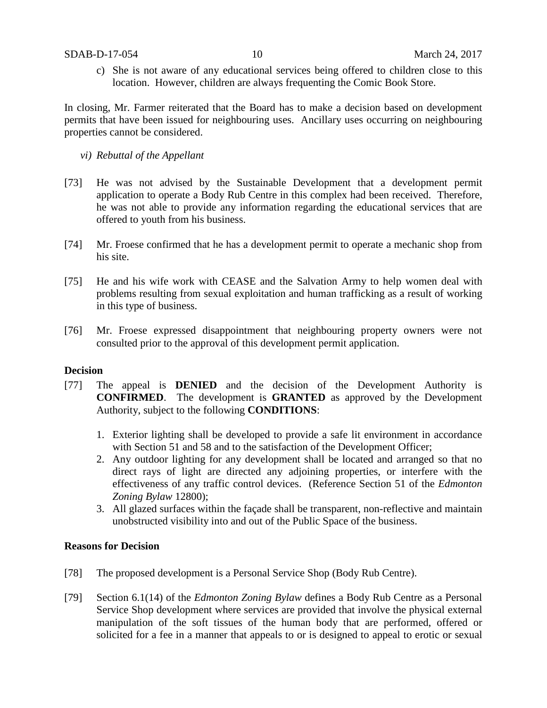c) She is not aware of any educational services being offered to children close to this location. However, children are always frequenting the Comic Book Store.

In closing, Mr. Farmer reiterated that the Board has to make a decision based on development permits that have been issued for neighbouring uses. Ancillary uses occurring on neighbouring properties cannot be considered.

- *vi) Rebuttal of the Appellant*
- [73] He was not advised by the Sustainable Development that a development permit application to operate a Body Rub Centre in this complex had been received. Therefore, he was not able to provide any information regarding the educational services that are offered to youth from his business.
- [74] Mr. Froese confirmed that he has a development permit to operate a mechanic shop from his site.
- [75] He and his wife work with CEASE and the Salvation Army to help women deal with problems resulting from sexual exploitation and human trafficking as a result of working in this type of business.
- [76] Mr. Froese expressed disappointment that neighbouring property owners were not consulted prior to the approval of this development permit application.

## **Decision**

- [77] The appeal is **DENIED** and the decision of the Development Authority is **CONFIRMED**. The development is **GRANTED** as approved by the Development Authority, subject to the following **CONDITIONS**:
	- 1. Exterior lighting shall be developed to provide a safe lit environment in accordance with Section 51 and 58 and to the satisfaction of the Development Officer;
	- 2. Any outdoor lighting for any development shall be located and arranged so that no direct rays of light are directed any adjoining properties, or interfere with the effectiveness of any traffic control devices. (Reference Section 51 of the *Edmonton Zoning Bylaw* 12800);
	- 3. All glazed surfaces within the façade shall be transparent, non-reflective and maintain unobstructed visibility into and out of the Public Space of the business.

### **Reasons for Decision**

- [78] The proposed development is a Personal Service Shop (Body Rub Centre).
- [79] Section 6.1(14) of the *Edmonton Zoning Bylaw* defines a Body Rub Centre as a Personal Service Shop development where services are provided that involve the physical external manipulation of the soft tissues of the human body that are performed, offered or solicited for a fee in a manner that appeals to or is designed to appeal to erotic or sexual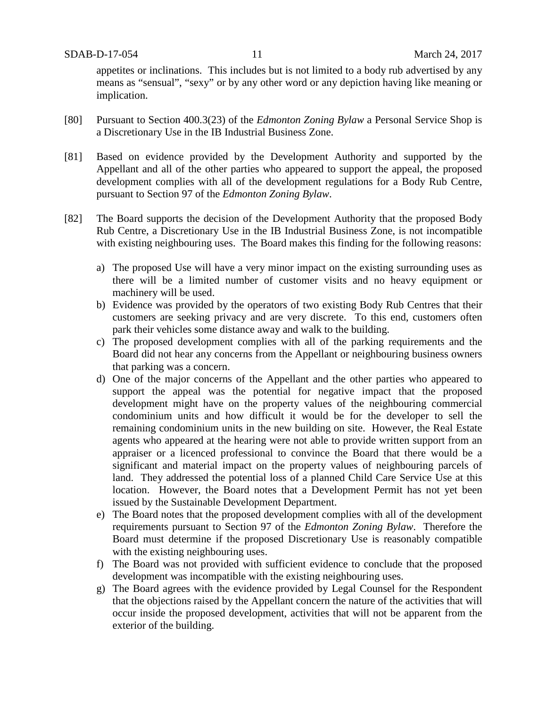appetites or inclinations. This includes but is not limited to a body rub advertised by any means as "sensual", "sexy" or by any other word or any depiction having like meaning or implication.

- [80] Pursuant to Section 400.3(23) of the *Edmonton Zoning Bylaw* a Personal Service Shop is a Discretionary Use in the IB Industrial Business Zone.
- [81] Based on evidence provided by the Development Authority and supported by the Appellant and all of the other parties who appeared to support the appeal, the proposed development complies with all of the development regulations for a Body Rub Centre, pursuant to Section 97 of the *Edmonton Zoning Bylaw*.
- [82] The Board supports the decision of the Development Authority that the proposed Body Rub Centre, a Discretionary Use in the IB Industrial Business Zone, is not incompatible with existing neighbouring uses. The Board makes this finding for the following reasons:
	- a) The proposed Use will have a very minor impact on the existing surrounding uses as there will be a limited number of customer visits and no heavy equipment or machinery will be used.
	- b) Evidence was provided by the operators of two existing Body Rub Centres that their customers are seeking privacy and are very discrete. To this end, customers often park their vehicles some distance away and walk to the building.
	- c) The proposed development complies with all of the parking requirements and the Board did not hear any concerns from the Appellant or neighbouring business owners that parking was a concern.
	- d) One of the major concerns of the Appellant and the other parties who appeared to support the appeal was the potential for negative impact that the proposed development might have on the property values of the neighbouring commercial condominium units and how difficult it would be for the developer to sell the remaining condominium units in the new building on site. However, the Real Estate agents who appeared at the hearing were not able to provide written support from an appraiser or a licenced professional to convince the Board that there would be a significant and material impact on the property values of neighbouring parcels of land. They addressed the potential loss of a planned Child Care Service Use at this location. However, the Board notes that a Development Permit has not yet been issued by the Sustainable Development Department.
	- e) The Board notes that the proposed development complies with all of the development requirements pursuant to Section 97 of the *Edmonton Zoning Bylaw*. Therefore the Board must determine if the proposed Discretionary Use is reasonably compatible with the existing neighbouring uses.
	- f) The Board was not provided with sufficient evidence to conclude that the proposed development was incompatible with the existing neighbouring uses.
	- g) The Board agrees with the evidence provided by Legal Counsel for the Respondent that the objections raised by the Appellant concern the nature of the activities that will occur inside the proposed development, activities that will not be apparent from the exterior of the building.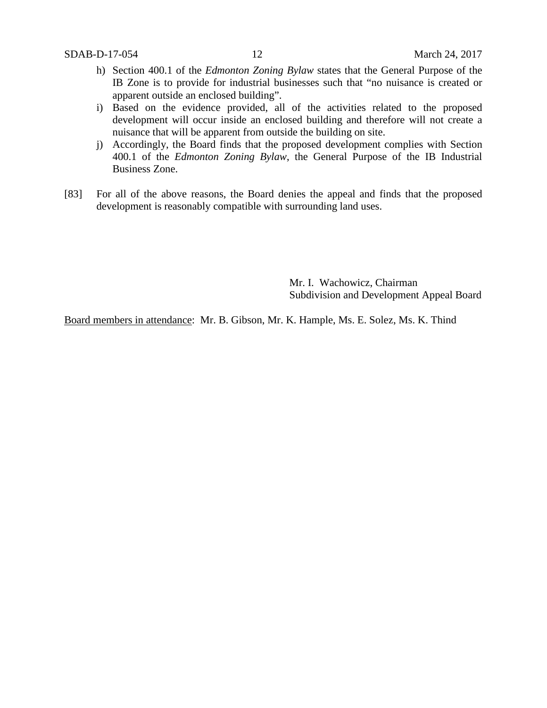- h) Section 400.1 of the *Edmonton Zoning Bylaw* states that the General Purpose of the IB Zone is to provide for industrial businesses such that "no nuisance is created or apparent outside an enclosed building".
- i) Based on the evidence provided, all of the activities related to the proposed development will occur inside an enclosed building and therefore will not create a nuisance that will be apparent from outside the building on site.
- j) Accordingly, the Board finds that the proposed development complies with Section 400.1 of the *Edmonton Zoning Bylaw*, the General Purpose of the IB Industrial Business Zone.
- [83] For all of the above reasons, the Board denies the appeal and finds that the proposed development is reasonably compatible with surrounding land uses.

Mr. I. Wachowicz, Chairman Subdivision and Development Appeal Board

Board members in attendance: Mr. B. Gibson, Mr. K. Hample, Ms. E. Solez, Ms. K. Thind